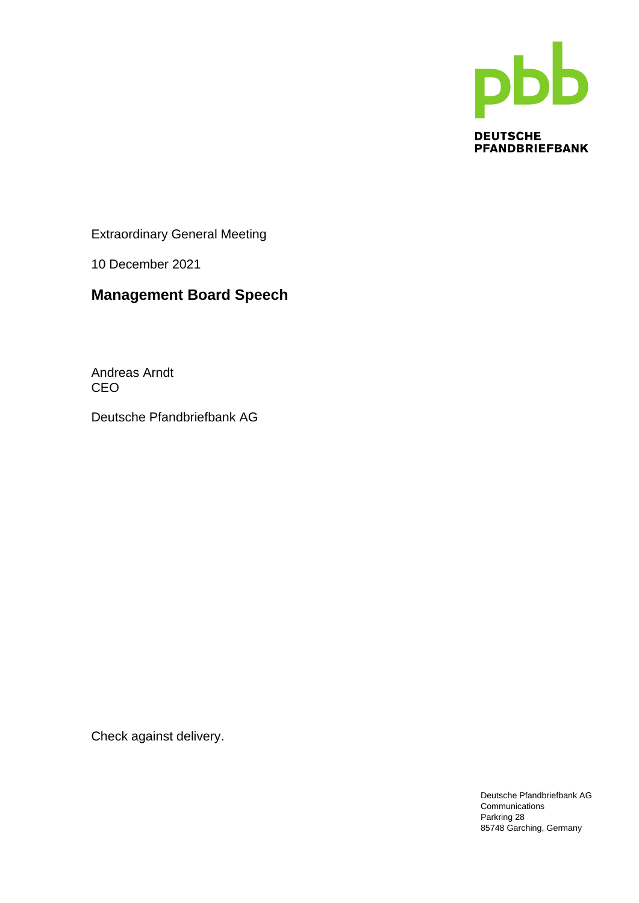

Extraordinary General Meeting

10 December 2021

## **Management Board Speech**

Andreas Arndt CEO

Deutsche Pfandbriefbank AG

Check against delivery.

Deutsche Pfandbriefbank AG Communications Parkring 28 85748 Garching, Germany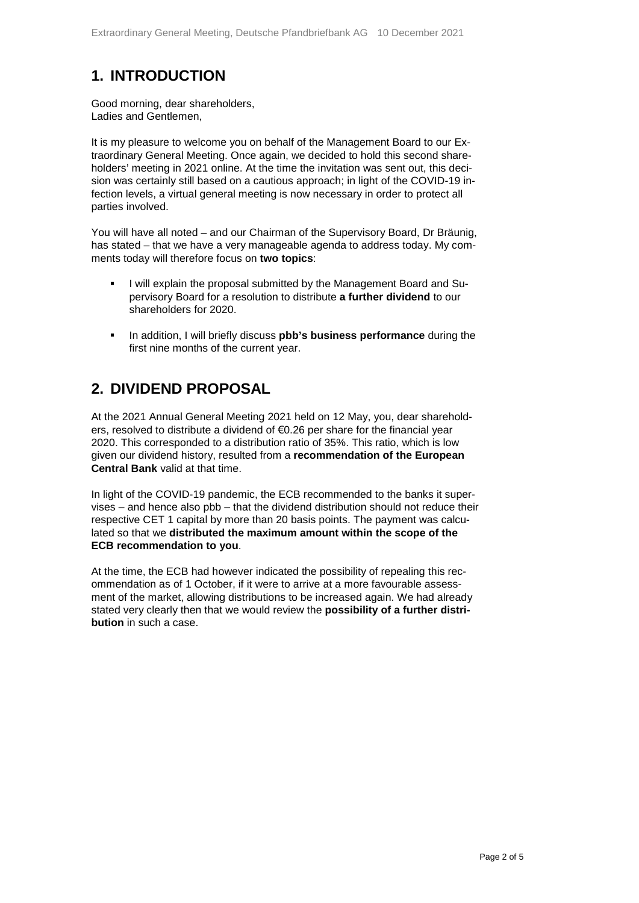## **1. INTRODUCTION**

Good morning, dear shareholders, Ladies and Gentlemen,

It is my pleasure to welcome you on behalf of the Management Board to our Extraordinary General Meeting. Once again, we decided to hold this second shareholders' meeting in 2021 online. At the time the invitation was sent out, this decision was certainly still based on a cautious approach; in light of the COVID-19 infection levels, a virtual general meeting is now necessary in order to protect all parties involved.

You will have all noted – and our Chairman of the Supervisory Board, Dr Bräunig, has stated – that we have a very manageable agenda to address today. My comments today will therefore focus on **two topics**:

- I will explain the proposal submitted by the Management Board and Supervisory Board for a resolution to distribute **a further dividend** to our shareholders for 2020.
- In addition, I will briefly discuss **pbb's business performance** during the first nine months of the current year.

### **2. DIVIDEND PROPOSAL**

At the 2021 Annual General Meeting 2021 held on 12 May, you, dear shareholders, resolved to distribute a dividend of €0.26 per share for the financial year 2020. This corresponded to a distribution ratio of 35%. This ratio, which is low given our dividend history, resulted from a **recommendation of the European Central Bank** valid at that time.

In light of the COVID-19 pandemic, the ECB recommended to the banks it supervises – and hence also pbb – that the dividend distribution should not reduce their respective CET 1 capital by more than 20 basis points. The payment was calculated so that we **distributed the maximum amount within the scope of the ECB recommendation to you**.

At the time, the ECB had however indicated the possibility of repealing this recommendation as of 1 October, if it were to arrive at a more favourable assessment of the market, allowing distributions to be increased again. We had already stated very clearly then that we would review the **possibility of a further distribution** in such a case.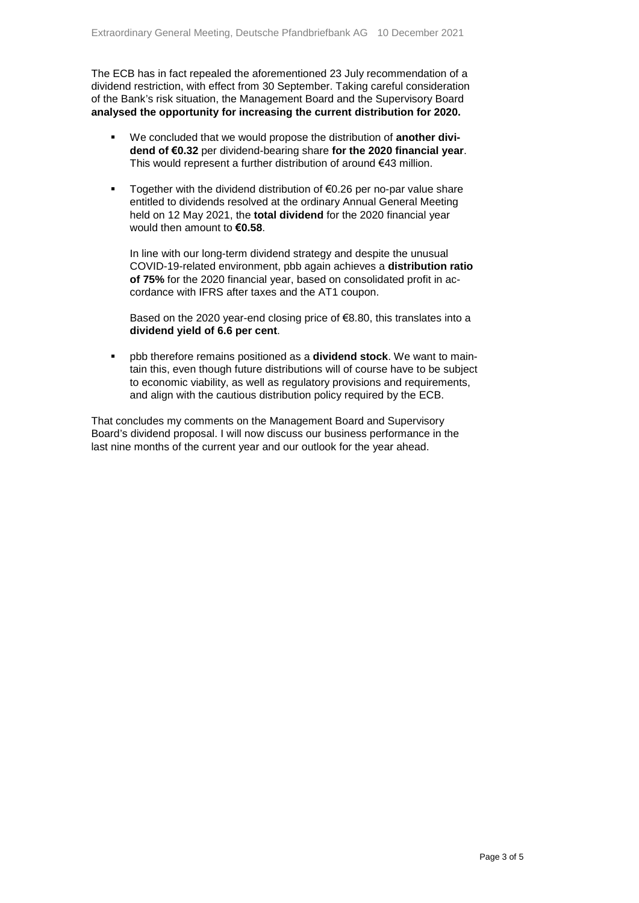The ECB has in fact repealed the aforementioned 23 July recommendation of a dividend restriction, with effect from 30 September. Taking careful consideration of the Bank's risk situation, the Management Board and the Supervisory Board **analysed the opportunity for increasing the current distribution for 2020.**

- We concluded that we would propose the distribution of **another dividend of €0.32** per dividend-bearing share **for the 2020 financial year**. This would represent a further distribution of around €43 million.
- Together with the dividend distribution of €0.26 per no-par value share entitled to dividends resolved at the ordinary Annual General Meeting held on 12 May 2021, the **total dividend** for the 2020 financial year would then amount to **€0.58**.

In line with our long-term dividend strategy and despite the unusual COVID-19-related environment, pbb again achieves a **distribution ratio of 75%** for the 2020 financial year, based on consolidated profit in accordance with IFRS after taxes and the AT1 coupon.

Based on the 2020 year-end closing price of €8.80, this translates into a **dividend yield of 6.6 per cent**.

 pbb therefore remains positioned as a **dividend stock**. We want to maintain this, even though future distributions will of course have to be subject to economic viability, as well as regulatory provisions and requirements, and align with the cautious distribution policy required by the ECB.

That concludes my comments on the Management Board and Supervisory Board's dividend proposal. I will now discuss our business performance in the last nine months of the current year and our outlook for the year ahead.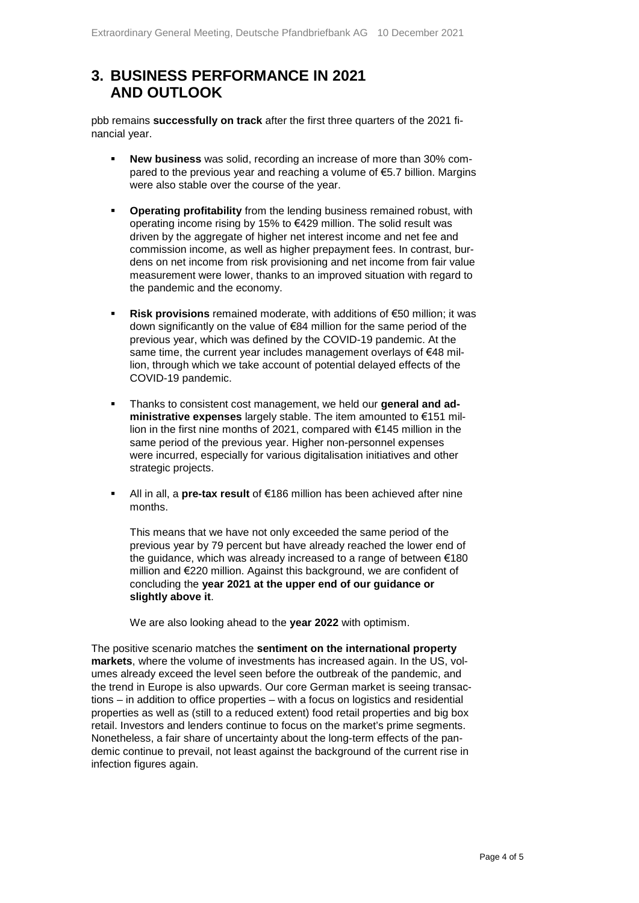### **3. BUSINESS PERFORMANCE IN 2021 AND OUTLOOK**

pbb remains **successfully on track** after the first three quarters of the 2021 financial year.

- **New business** was solid, recording an increase of more than 30% compared to the previous year and reaching a volume of €5.7 billion. Margins were also stable over the course of the year.
- **Operating profitability** from the lending business remained robust, with operating income rising by 15% to €429 million. The solid result was driven by the aggregate of higher net interest income and net fee and commission income, as well as higher prepayment fees. In contrast, burdens on net income from risk provisioning and net income from fair value measurement were lower, thanks to an improved situation with regard to the pandemic and the economy.
- **Risk provisions** remained moderate, with additions of €50 million; it was down significantly on the value of €84 million for the same period of the previous year, which was defined by the COVID-19 pandemic. At the same time, the current year includes management overlays of €48 million, through which we take account of potential delayed effects of the COVID-19 pandemic.
- Thanks to consistent cost management, we held our **general and administrative expenses** largely stable. The item amounted to €151 million in the first nine months of 2021, compared with €145 million in the same period of the previous year. Higher non-personnel expenses were incurred, especially for various digitalisation initiatives and other strategic projects.
- All in all, a **pre-tax result** of €186 million has been achieved after nine months.

This means that we have not only exceeded the same period of the previous year by 79 percent but have already reached the lower end of the guidance, which was already increased to a range of between €180 million and €220 million. Against this background, we are confident of concluding the **year 2021 at the upper end of our guidance or slightly above it**.

We are also looking ahead to the **year 2022** with optimism.

The positive scenario matches the **sentiment on the international property markets**, where the volume of investments has increased again. In the US, volumes already exceed the level seen before the outbreak of the pandemic, and the trend in Europe is also upwards. Our core German market is seeing transactions – in addition to office properties – with a focus on logistics and residential properties as well as (still to a reduced extent) food retail properties and big box retail. Investors and lenders continue to focus on the market's prime segments. Nonetheless, a fair share of uncertainty about the long-term effects of the pandemic continue to prevail, not least against the background of the current rise in infection figures again.